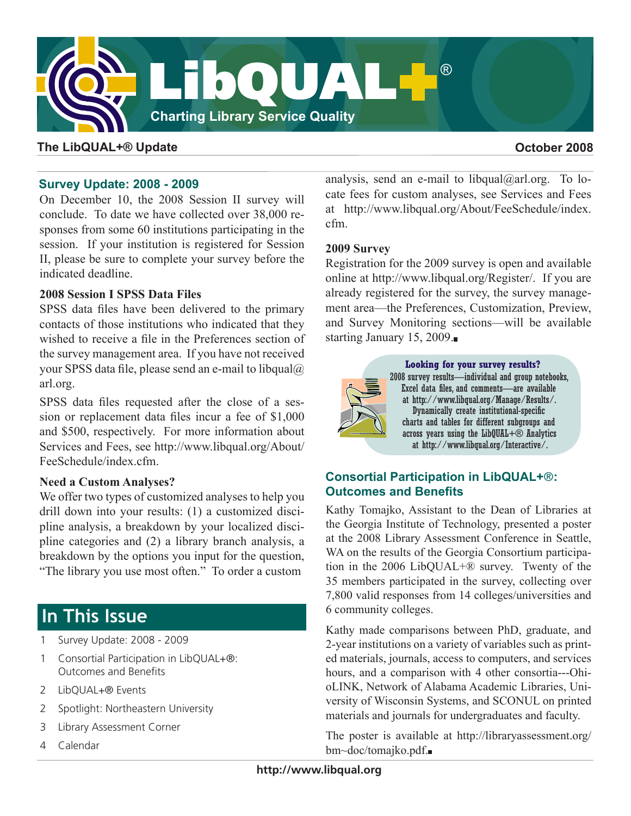

# **The LibQUAL+® Update October 2008**

## **Survey Update: 2008 - 2009**

On December 10, the 2008 Session II survey will conclude. To date we have collected over 38,000 responses from some 60 institutions participating in the session. If your institution is registered for Session II, please be sure to complete your survey before the indicated deadline.

### **2008 Session I SPSS Data Files**

SPSS data files have been delivered to the primary contacts of those institutions who indicated that they wished to receive a file in the Preferences section of the survey management area. If you have not received your SPSS data file, please send an e-mail to [libqual@](mailto:libqual@arl.org) [arl.org.](mailto:libqual@arl.org)

SPSS data files requested after the close of a session or replacement data files incur a fee of \$1,000 and \$500, respectively. For more information about Services and Fees, see [http://www.libqual.org/About/](http://old.libqual.org/About/FeeSchedule/index.cfm) [FeeSchedule/index.cf](http://old.libqual.org/About/FeeSchedule/index.cfm)m.

### **Need a Custom Analyses?**

We offer two types of customized analyses to help you drill down into your results: (1) a customized discipline analysis, a breakdown by your localized discipline categories and (2) a library branch analysis, a breakdown by the options you input for the question, "The library you use most often." To order a custom

# **In This Issue**

- 1 Survey Update: 2008 2009
- 1 Consortial Participation in LibQUAL+®: Outcomes and Benefits
- 2 LibQUAL+® Events
- 2 Spotlight: Northeastern University
- 3 Library Assessment Corner
- 4 Calendar

analysis, send an e-mail to libqual $(a)$ arl.org. To locate fees for custom analyses, see Services and Fees at [http://www.libqual.org/About/FeeSchedule/index.](http://old.libqual.org/About/FeeSchedule/index.cfm) [cfm.](http://old.libqual.org/About/FeeSchedule/index.cfm)

## **2009 Survey**

Registration for the 2009 survey is open and available online at [http://www.libqual.org/Register/.](http://old.libqual.org/Register/index.cfm) If you are already registered for the survey, the survey management area—the Preferences, Customization, Preview, and Survey Monitoring sections—will be available starting January 15, 2009.



**Looking for your survey results?** 2008 survey results—individual and group notebooks, Excel data files, and comments—are available at http://www.libqual.org/Manage/Results/. Dynamically create institutional-specific charts and tables for different subgroups and across years using the LibQUAL+ $\circledR$  Analytics at http://www.libqual.org/Interactive/.

# **Consortial Participation in LibQUAL+**®**: Outcomes and Benefits**

Kathy Tomajko, Assistant to the Dean of Libraries at the Georgia Institute of Technology, presented a poster at the 2008 Library Assessment Conference in Seattle, WA on the results of the Georgia Consortium participation in the 2006 LibQUAL+® survey. Twenty of the 35 members participated in the survey, collecting over 7,800 valid responses from 14 colleges/universities and 6 community colleges.

Kathy made comparisons between PhD, graduate, and 2-year institutions on a variety of variables such as printed materials, journals, access to computers, and services hours, and a comparison with 4 other consortia---OhioLINK, Network of Alabama Academic Libraries, University of Wisconsin Systems, and SCONUL on printed materials and journals for undergraduates and faculty.

The poster is available at [http://libraryassessment.org/](http://libraryassessment.org/bm~doc/tomajko.pdf) [bm~doc/tomajko.pdf.](http://libraryassessment.org/bm~doc/tomajko.pdf)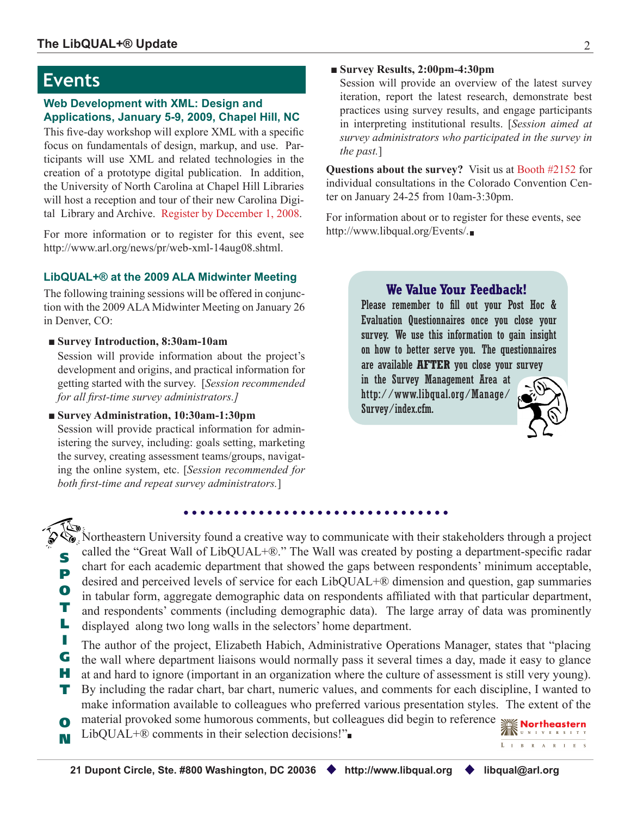# **Events**

#### **Web Development with XML: Design and Applications, January 5-9, 2009, Chapel Hill, NC**

This five-day workshop will explore XML with a specific focus on fundamentals of design, markup, and use. Participants will use XML and related technologies in the creation of a prototype digital publication. In addition, the University of North Carolina at Chapel Hill Libraries will host a reception and tour of their new Carolina Digital Library and Archive. Register by December 1, 2008.

For more information or to register for this event, see [http://www.arl.org/news/pr/web-xml-14aug08.shtm](http://www.arl.org/news/pr/web-xml-14aug08.shtml)l.

### **LibQUAL+® at the 2009 ALA Midwinter Meeting**

The following training sessions will be offered in conjunction with the 2009 ALA Midwinter Meeting on January 26 in Denver, CO:

#### ■ **Survey Introduction, 8:30am-10am**

Session will provide information about the project's development and origins, and practical information for getting started with the survey. [*Session recommended for all first-time survey administrators.]*

■ **Survey Administration, 10:30am-1:30pm**

Session will provide practical information for administering the survey, including: goals setting, marketing the survey, creating assessment teams/groups, navigating the online system, etc. [*Session recommended for both first-time and repeat survey administrators.*]

#### ■ **Survey Results, 2:00pm-4:30pm**

Session will provide an overview of the latest survey iteration, report the latest research, demonstrate best practices using survey results, and engage participants in interpreting institutional results. [*Session aimed at survey administrators who participated in the survey in the past.*]

**Questions about the survey?** Visit us at Booth #2152 for individual consultations in the Colorado Convention Center on January 24-25 from 10am-3:30pm.

For information about or to register for these events, see [http://www.libqual.org/Events/](http://old.libqual.org/Events/index.cfm).

# **We Value Your Feedback!**

Please remember to fill out your Post Hoc & Evaluation Questionnaires once you close your survey. We use this information to gain insight on how to better serve you. The questionnaires are available **AFTER** you close your survey

in the Survey Management Area at [http://www.libqual.org/Manage/](http://old.libqual.org/Manage/Survey/index.cfm) [Survey/index.cf](http://old.libqual.org/Manage/Survey/index.cfm)m.



S P O T L Northeastern University found a creative way to communicate with their stakeholders through a project called the "Great Wall of LibQUAL+®." The Wall was created by posting a department-specific radar chart for each academic department that showed the gaps between respondents' minimum acceptable, desired and perceived levels of service for each LibQUAL+® dimension and question, gap summaries in tabular form, aggregate demographic data on respondents affiliated with that particular department, and respondents' comments (including demographic data). The large array of data was prominently displayed along two long walls in the selectors' home department.

- I The author of the project, Elizabeth Habich, Administrative Operations Manager, states that "placing
- G the wall where department liaisons would normally pass it several times a day, made it easy to glance
- H at and hard to ignore (important in an organization where the culture of assessment is still very young).
- T By including the radar chart, bar chart, numeric values, and comments for each discipline, I wanted to make information available to colleagues who preferred various presentation styles. The extent of the
- O material provoked some humorous comments, but colleagues did begin to reference
- N LibQUAL+® comments in their selection decisions!"

 $L \quad I \quad B \quad R \quad A \quad R \quad I \quad E \quad S$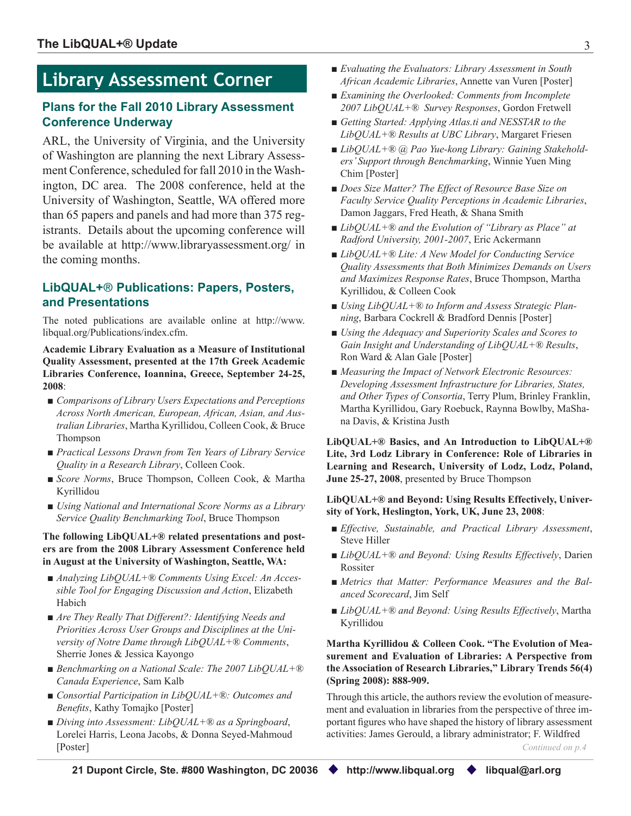# **Library Assessment Corner**

# **Plans for the Fall 2010 Library Assessment Conference Underway**

ARL, the University of Virginia, and the University of Washington are planning the next Library Assessment Conference, scheduled for fall 2010 in the Washington, DC area. The 2008 conference, held at the University of Washington, Seattle, WA offered more than 65 papers and panels and had more than 375 registrants. Details about the upcoming conference will be available at <http://www.libraryassessment.org/> in the coming months.

# **LibQUAL+**® **Publications: Papers, Posters, and Presentations**

The noted publications are available online at [http://www.](http://old.libqual.org/Publications/index.cfm) [libqual.org/Publications/index.cf](http://old.libqual.org/Publications/index.cfm)m.

**Academic Library Evaluation as a Measure of Institutional Quality Assessment, presented at the 17th Greek Academic Libraries Conference, Ioannina, Greece, September 24-25, 2008**:

- *Comparisons of Library Users Expectations and Perceptions Across North American, European, African, Asian, and Australian Libraries*, Martha Kyrillidou, Colleen Cook, & Bruce Thompson
- *Practical Lessons Drawn from Ten Years of Library Service Quality in a Research Library*, Colleen Cook.
- *Score Norms*, Bruce Thompson, Colleen Cook, & Martha Kyrillidou
- *Using National and International Score Norms as a Library Service Quality Benchmarking Tool*, Bruce Thompson

**The following LibQUAL+® related presentations and posters are from the 2008 Library Assessment Conference held in August at the University of Washington, Seattle, WA:** 

- *Analyzing LibQUAL*+<sup>®</sup> *Comments Using Excel: An Acces sible Tool for Engaging Discussion and Action*, Elizabeth Habich
- *Are They Really That Different?: Identifying Needs and Priorities Across User Groups and Disciplines at the University of Notre Dame through LibQUAL+® Comments*, Sherrie Jones & Jessica Kayongo
- *Benchmarking on a National Scale: The 2007 LibQUAL*+<sup>®</sup> *Canada Experience*, Sam Kalb
- *Consortial Participation in LibQUAL*+<sup>®</sup>: *Outcomes and Benefits*, Kathy Tomajko [Poster]
- *Diving into Assessment: LibQUAL*+<sup>®</sup> *as a Springboard*, Lorelei Harris, Leona Jacobs, & Donna Seyed-Mahmoud [Poster]
- *Evaluating the Evaluators: Library Assessment in South African Academic Libraries*, Annette van Vuren [Poster]
- *Examining the Overlooked: Comments from Incomplete 2007 LibQUAL+® Survey Responses*, Gordon Fretwell
- *Getting Started: Applying Atlas.ti and NESSTAR to the LibQUAL+® Results at UBC Library*, Margaret Friesen
- *LibOUAL*+<sup>®</sup> @ *Pao Yue-kong Library: Gaining Stakehold ers' Support through Benchmarking*, Winnie Yuen Ming Chim [Poster]
- *Does Size Matter? The Effect of Resource Base Size on Faculty Service Quality Perceptions in Academic Libraries*, Damon Jaggars, Fred Heath, & Shana Smith
- *LibQUAL*+<sup>®</sup> and the Evolution of "*Library as Place*" at *Radford University, 2001-2007*, Eric Ackermann
- *LibQUAL*+® *Lite: A New Model for Conducting Service Quality Assessments that Both Minimizes Demands on Users and Maximizes Response Rates*, Bruce Thompson, Martha Kyrillidou, & Colleen Cook
- *Using LibQUAL*+® to *Inform and Assess Strategic Plan ning*, Barbara Cockrell & Bradford Dennis [Poster]
- *Using the Adequacy and Superiority Scales and Scores to Gain Insight and Understanding of LibQUAL+® Results*, Ron Ward & Alan Gale [Poster]
- *Measuring the Impact of Network Electronic Resources: Developing Assessment Infrastructure for Libraries, States, and Other Types of Consortia*, Terry Plum, Brinley Franklin, Martha Kyrillidou, Gary Roebuck, Raynna Bowlby, MaShana Davis, & Kristina Justh

**LibQUAL+® Basics, and An Introduction to LibQUAL+® Lite, 3rd Lodz Library in Conference: Role of Libraries in Learning and Research, University of Lodz, Lodz, Poland, June 25-27, 2008**, presented by Bruce Thompson

#### **LibQUAL+® and Beyond: Using Results Effectively, University of York, Heslington, York, UK, June 23, 2008**:

- *Effective, Sustainable, and Practical Library Assessment*, Steve Hiller
- *LibQUAL*+® and *Beyond: Using Results Effectively*, Darien Rossiter
- *Metrics that Matter: Performance Measures and the Balanced Scorecard*, Jim Self
- *LibQUAL*+<sup>®</sup> and *Beyond: Using Results Effectively*, Martha Kyrillidou

#### **Martha Kyrillidou & Colleen Cook. "The Evolution of Measurement and Evaluation of Libraries: A Perspective from the Association of Research Libraries," Library Trends 56(4) (Spring 2008): 888-909.**

Through this article, the authors review the evolution of measurement and evaluation in libraries from the perspective of three important figures who have shaped the history of library assessment activities: James Gerould, a library administrator; F. Wildfred

*Continued on p.4*